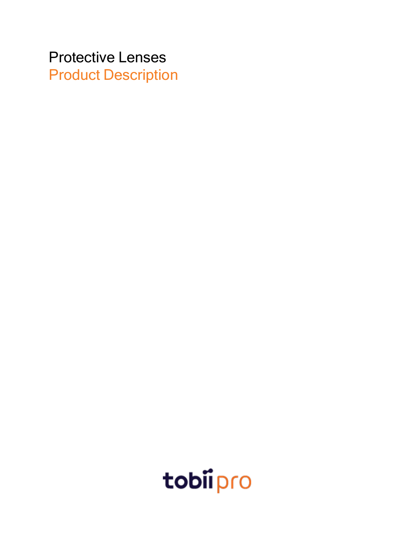Protective Lenses Product Description

tobiipro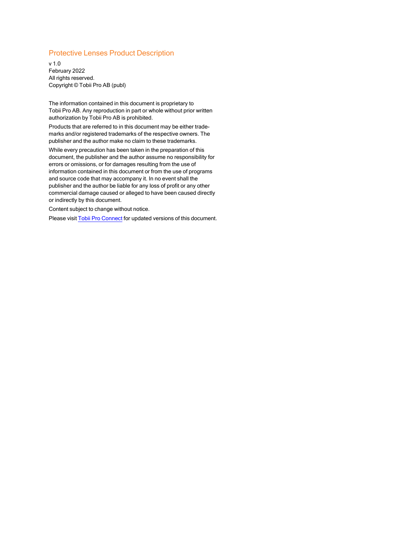#### Protective Lenses Product Description

v 1.0 February 2022 All rights reserved. Copyright © Tobii Pro AB (publ)

The information contained in this document is proprietary to Tobii Pro AB. Any reproduction in part or whole without prior written authorization by Tobii Pro AB is prohibited.

Products that are referred to in this document may be either trademarks and/or registered trademarks of the respective owners. The publisher and the author make no claim to these trademarks.

While every precaution has been taken in the preparation of this document, the publisher and the author assume no responsibility for errors or omissions, or for damages resulting from the use of information contained in this document or from the use of programs and source code that may accompany it. In no event shall the publisher and the author be liable for any loss of profit or any other commercial damage caused or alleged to have been caused directly or indirectly by this document.

Content subject to change without notice.

Please visit Tobii Pro [Connect](https://connect.tobiipro.com/) for updated versions of this document.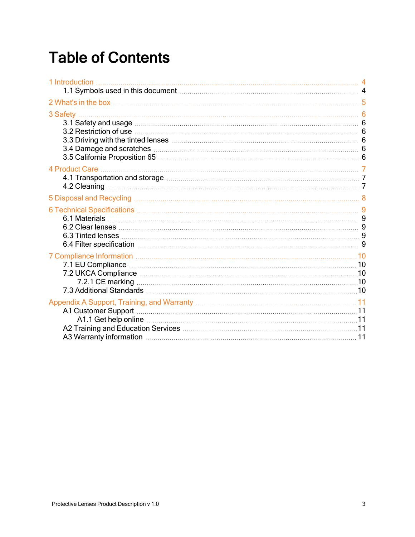## Table of Contents

| 1 Introduction<br>1.1 Symbols used in this document manufactured and the symbols used in this document manufactured and the symbols used in this document. |  |
|------------------------------------------------------------------------------------------------------------------------------------------------------------|--|
|                                                                                                                                                            |  |
| 3 Safety.<br>3.1 Safety and usage measurements are constant for the state of $6$                                                                           |  |
|                                                                                                                                                            |  |
|                                                                                                                                                            |  |
| 6 Technical Specifications <b>Manual According to Technical Specifications</b> 9                                                                           |  |
| 7 Compliance Information [11] The Manuscript Compliance Information of the Manuscript Compliance Information [10                                           |  |
|                                                                                                                                                            |  |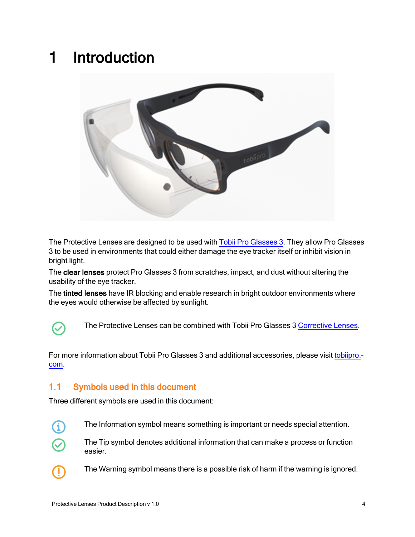### <span id="page-3-0"></span>1 Introduction



The Protective Lenses are designed to be used with Tobii Pro [Glasses](https://www.tobiipro.com/product-listing/tobii-pro-glasses-3/) 3. They allow Pro Glasses 3 to be used in environments that could either damage the eye tracker itself or inhibit vision in bright light.

The clear lenses protect Pro Glasses 3 from scratches, impact, and dust without altering the usability of the eye tracker.

The tinted lenses have IR blocking and enable research in bright outdoor environments where the eyes would otherwise be affected by sunlight.



The Protective Lenses can be combined with Tobii Pro Glasses 3 [Corrective](https://www.tobiipro.com/product-listing/corrective-lenses/) Lenses.

For more information about Tobii Pro Glasses 3 and additional accessories, please visit [tobiipro.](http://tobiipro.com/) [com.](http://tobiipro.com/)

#### <span id="page-3-1"></span>1.1 Symbols used in this document

Three different symbols are used in this document:



The Information symbol means something is important or needs special attention.



The Tip symbol denotes additional information that can make a process or function easier.



The Warning symbol means there is a possible risk of harm if the warning is ignored.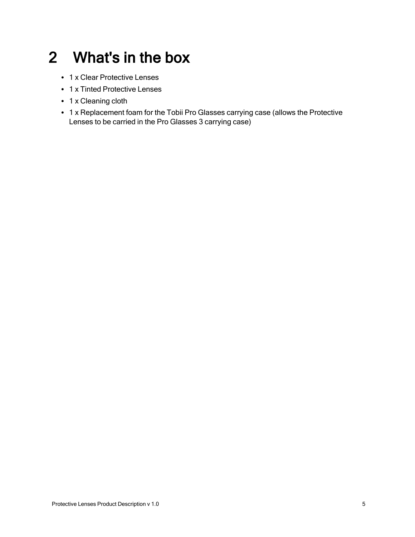## <span id="page-4-0"></span>2 What's in the box

- 1 x Clear Protective Lenses
- 1 x Tinted Protective Lenses
- 1 x Cleaning cloth
- 1 x Replacement foam for the Tobii Pro Glasses carrying case (allows the Protective Lenses to be carried in the Pro Glasses 3 carrying case)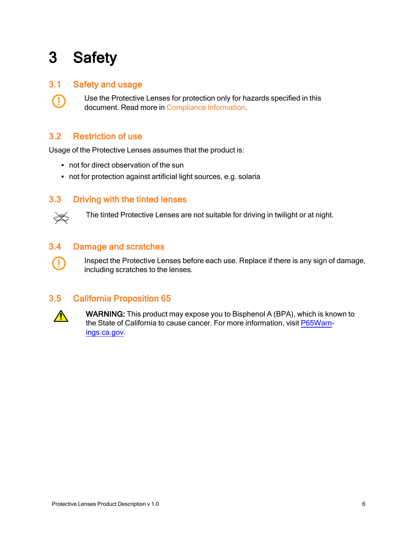# <span id="page-5-0"></span>3 Safety

#### 3.1 Safety and usage

<span id="page-5-2"></span><span id="page-5-1"></span>Use the Protective Lenses for protection only for hazards specified in this document. Read more in [Compliance](#page-9-0) Information.

#### 3.2 Restriction of use

Usage of the Protective Lenses assumes that the product is:

- not for direct observation of the sun
- <span id="page-5-3"></span>• not for protection against artificial light sources, e.g. solaria

#### 3.3 Driving with the tinted lenses



Œ

Œ

<span id="page-5-4"></span>The tinted Protective Lenses are not suitable for driving in twilight or at night.

#### 3.4 Damage and scratches

<span id="page-5-5"></span>Inspect the Protective Lenses before each use. Replace if there is any sign of damage, including scratches to the lenses.

#### 3.5 California Proposition 65



WARNING: This product may expose you to Bisphenol A (BPA), which is known to the State of California to cause cancer. For more information, visit [P65Warn](http://www.p65warnings.ca.gov/)[ings.ca.gov](http://www.p65warnings.ca.gov/).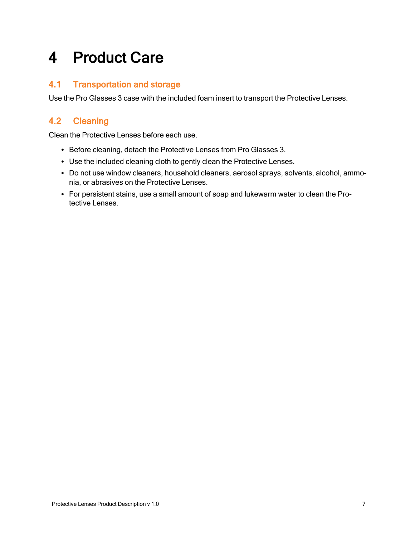### <span id="page-6-0"></span>4 Product Care

### <span id="page-6-1"></span>4.1 Transportation and storage

Use the Pro Glasses 3 case with the included foam insert to transport the Protective Lenses.

### <span id="page-6-2"></span>4.2 Cleaning

Clean the Protective Lenses before each use.

- Before cleaning, detach the Protective Lenses from Pro Glasses 3.
- Use the included cleaning cloth to gently clean the Protective Lenses.
- Do not use window cleaners, household cleaners, aerosol sprays, solvents, alcohol, ammonia, or abrasives on the Protective Lenses.
- For persistent stains, use a small amount of soap and lukewarm water to clean the Protective Lenses.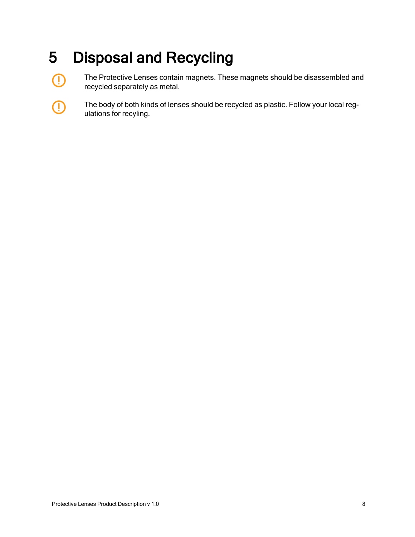# <span id="page-7-0"></span>5 Disposal and Recycling

 $\bigcirc$ 

Œ

The Protective Lenses contain magnets. These magnets should be disassembled and recycled separately as metal.

The body of both kinds of lenses should be recycled as plastic. Follow your local regulations for recyling.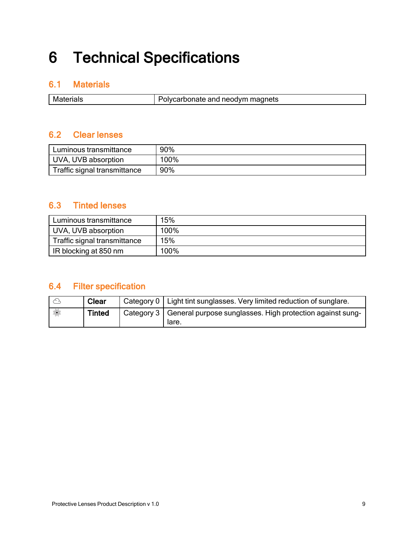# <span id="page-8-0"></span>6 Technical Specifications

#### <span id="page-8-1"></span>6.1 Materials

| Materials | Polycarbonate and neodym magnets |
|-----------|----------------------------------|

### <span id="page-8-2"></span>6.2 Clear lenses

| Luminous transmittance       | 90%  |
|------------------------------|------|
| UVA, UVB absorption          | 100% |
| Traffic signal transmittance | 90%  |

#### <span id="page-8-3"></span>6.3 Tinted lenses

| Luminous transmittance       | 15%  |
|------------------------------|------|
| UVA, UVB absorption          | 100% |
| Traffic signal transmittance | 15%  |
| IR blocking at 850 nm        | 100% |

#### <span id="page-8-4"></span>6.4 Filter specification

|   | <b>Clear</b>  | Category 0   Light tint sunglasses. Very limited reduction of sunglare.              |
|---|---------------|--------------------------------------------------------------------------------------|
| 纂 | <b>Tinted</b> | Category $3 \mid$ General purpose sunglasses. High protection against sung-<br>lare. |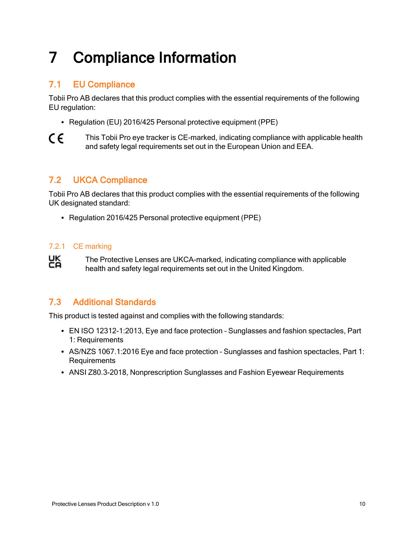# <span id="page-9-0"></span>7 Compliance Information

### <span id="page-9-1"></span>7.1 EU Compliance

Tobii Pro AB declares that this product complies with the essential requirements of the following EU regulation:

- Regulation (EU) 2016/425 Personal protective equipment (PPE)
- $\epsilon$ This Tobii Pro eye tracker is CE-marked, indicating compliance with applicable health and safety legal requirements set out in the European Union and EEA.

#### <span id="page-9-2"></span>7.2 UKCA Compliance

Tobii Pro AB declares that this product complies with the essential requirements of the following UK designated standard:

<span id="page-9-3"></span>• Regulation 2016/425 Personal protective equipment (PPE)

#### 7.2.1 CE marking

Ҝ The Protective Lenses are UKCA-marked, indicating compliance with applicable health and safety legal requirements set out in the United Kingdom.

#### <span id="page-9-4"></span>7.3 Additional Standards

This product is tested against and complies with the following standards:

- EN ISO 12312-1:2013, Eye and face protection Sunglasses and fashion spectacles, Part 1: Requirements
- AS/NZS 1067.1:2016 Eye and face protection Sunglasses and fashion spectacles, Part 1: Requirements
- ANSI Z80.3-2018, Nonprescription Sunglasses and Fashion Eyewear Requirements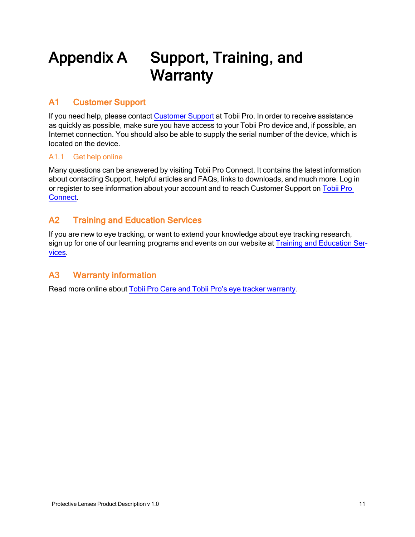## <span id="page-10-0"></span>Appendix A Support, Training, and **Warranty**

#### <span id="page-10-1"></span>A1 Customer Support

If you need help, please contact [Customer](https://connect.tobiipro.com/) Support at Tobii Pro. In order to receive assistance as quickly as possible, make sure you have access to your Tobii Pro device and, if possible, an Internet connection. You should also be able to supply the serial number of the device, which is located on the device.

#### <span id="page-10-2"></span>A1.1 Get help online

Many questions can be answered by visiting Tobii Pro Connect. It contains the latest information about contacting Support, helpful articles and FAQs, links to downloads, and much more. Log in or register to see information about your account and to reach Customer Support on [Tobii](https://connect.tobiipro.com/) Pro [Connect.](https://connect.tobiipro.com/)

#### <span id="page-10-3"></span>A2 Training and Education Services

If you are new to eye tracking, or want to extend your knowledge about eye tracking research, sign up for one of our learning programs and events on our website at Training and [Education](https://www.tobiipro.com/product-listing/online-initial-training/) Ser[vices](https://www.tobiipro.com/product-listing/online-initial-training/).

#### <span id="page-10-4"></span>A3 Warranty information

Read more online about Tobii Pro Care and Tobii Pro's eye tracker [warranty](https://www.tobiipro.com/siteassets/tobii-pro/documents/tobii-care-service-description.pdf/).